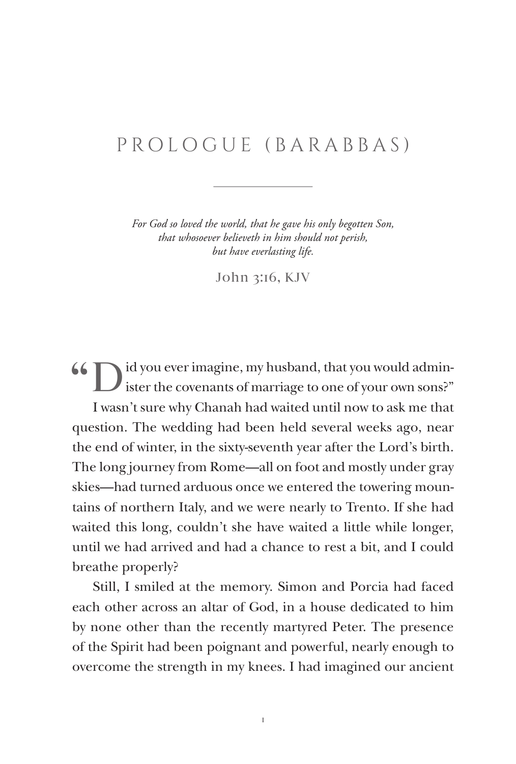## PROLOGUE (BARABBAS)

*For God so loved the world, that he gave his only begotten Son, that whosoever believeth in him should not perish, but have everlasting life.*

John 3:16, KJV

66  $\Box$  id you ever imagine, my husband, that you would administer the covenants of marriage to one of your own sons?" I wasn't sure why Chanah had waited until now to ask me that question. The wedding had been held several weeks ago, near the end of winter, in the sixty-seventh year after the Lord's birth. The long journey from Rome—all on foot and mostly under gray skies—had turned arduous once we entered the towering mountains of northern Italy, and we were nearly to Trento. If she had waited this long, couldn't she have waited a little while longer, until we had arrived and had a chance to rest a bit, and I could breathe properly?

Still, I smiled at the memory. Simon and Porcia had faced each other across an altar of God, in a house dedicated to him by none other than the recently martyred Peter. The presence of the Spirit had been poignant and powerful, nearly enough to overcome the strength in my knees. I had imagined our ancient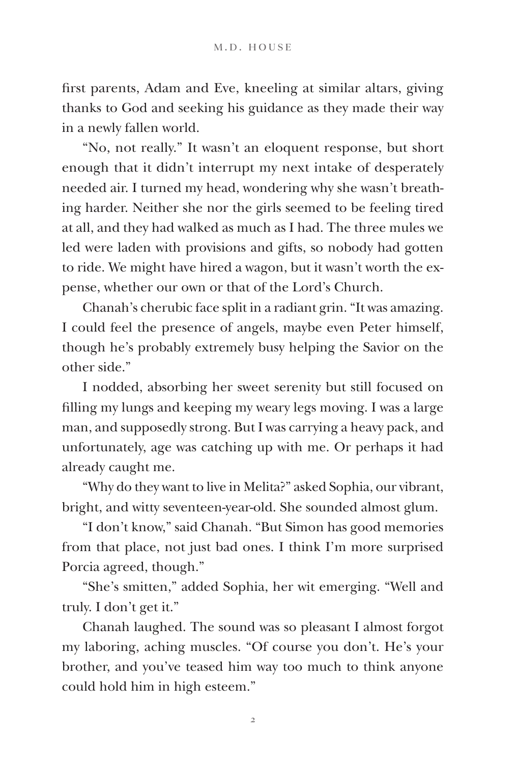first parents, Adam and Eve, kneeling at similar altars, giving thanks to God and seeking his guidance as they made their way in a newly fallen world.

"No, not really." It wasn't an eloquent response, but short enough that it didn't interrupt my next intake of desperately needed air. I turned my head, wondering why she wasn't breathing harder. Neither she nor the girls seemed to be feeling tired at all, and they had walked as much as I had. The three mules we led were laden with provisions and gifts, so nobody had gotten to ride. We might have hired a wagon, but it wasn't worth the expense, whether our own or that of the Lord's Church.

Chanah's cherubic face split in a radiant grin. "It was amazing. I could feel the presence of angels, maybe even Peter himself, though he's probably extremely busy helping the Savior on the other side."

I nodded, absorbing her sweet serenity but still focused on filling my lungs and keeping my weary legs moving. I was a large man, and supposedly strong. But I was carrying a heavy pack, and unfortunately, age was catching up with me. Or perhaps it had already caught me.

"Why do they want to live in Melita?" asked Sophia, our vibrant, bright, and witty seventeen-year-old. She sounded almost glum.

"I don't know," said Chanah. "But Simon has good memories from that place, not just bad ones. I think I'm more surprised Porcia agreed, though."

"She's smitten," added Sophia, her wit emerging. "Well and truly. I don't get it."

Chanah laughed. The sound was so pleasant I almost forgot my laboring, aching muscles. "Of course you don't. He's your brother, and you've teased him way too much to think anyone could hold him in high esteem."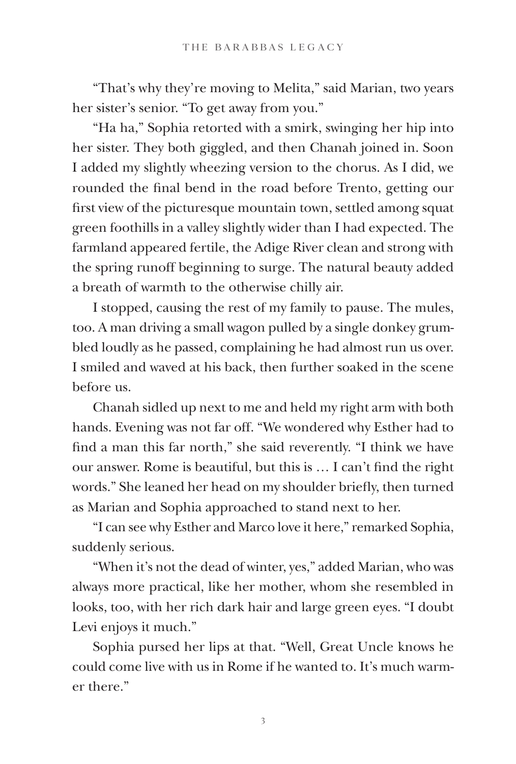"That's why they're moving to Melita," said Marian, two years her sister's senior. "To get away from you."

"Ha ha," Sophia retorted with a smirk, swinging her hip into her sister. They both giggled, and then Chanah joined in. Soon I added my slightly wheezing version to the chorus. As I did, we rounded the final bend in the road before Trento, getting our first view of the picturesque mountain town, settled among squat green foothills in a valley slightly wider than I had expected. The farmland appeared fertile, the Adige River clean and strong with the spring runoff beginning to surge. The natural beauty added a breath of warmth to the otherwise chilly air.

I stopped, causing the rest of my family to pause. The mules, too. A man driving a small wagon pulled by a single donkey grumbled loudly as he passed, complaining he had almost run us over. I smiled and waved at his back, then further soaked in the scene before us.

Chanah sidled up next to me and held my right arm with both hands. Evening was not far off. "We wondered why Esther had to find a man this far north," she said reverently. "I think we have our answer. Rome is beautiful, but this is … I can't find the right words." She leaned her head on my shoulder briefly, then turned as Marian and Sophia approached to stand next to her.

"I can see why Esther and Marco love it here," remarked Sophia, suddenly serious.

"When it's not the dead of winter, yes," added Marian, who was always more practical, like her mother, whom she resembled in looks, too, with her rich dark hair and large green eyes. "I doubt Levi enjoys it much."

Sophia pursed her lips at that. "Well, Great Uncle knows he could come live with us in Rome if he wanted to. It's much warmer there."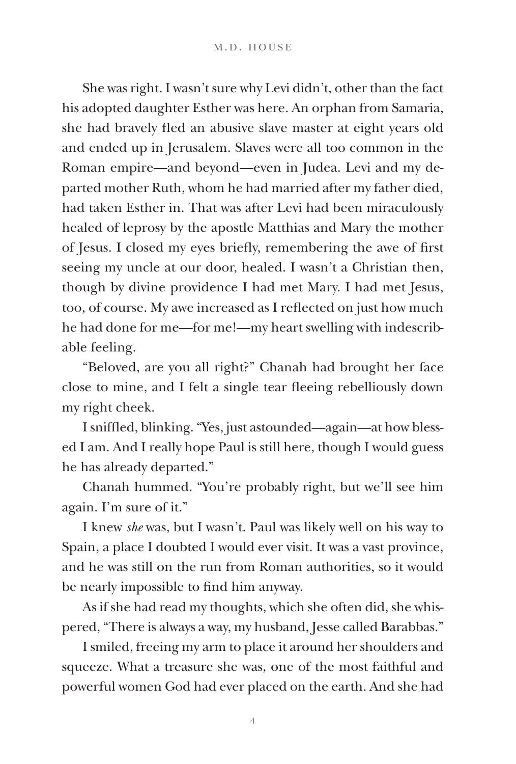She was right. I wasn't sure why Levi didn't, other than the fact his adopted daughter Esther was here. An orphan from Samaria, she had bravely fled an abusive slave master at eight years old and ended up in Jerusalem. Slaves were all too common in the Roman empire—and beyond—even in Judea. Levi and my departed mother Ruth, whom he had married after my father died, had taken Esther in. That was after Levi had been miraculously healed of leprosy by the apostle Matthias and Mary the mother of Jesus. I closed my eyes briefly, remembering the awe of first seeing my uncle at our door, healed. I wasn't a Christian then, though by divine providence I had met Mary. I had met Jesus, too, of course. My awe increased as I reflected on just how much he had done for me—for me!—my heart swelling with indescribable feeling.

"Beloved, are you all right?" Chanah had brought her face close to mine, and I felt a single tear fleeing rebelliously down my right cheek.

I sniffled, blinking. "Yes, just astounded—again—at how blessed I am. And I really hope Paul is still here, though I would guess he has already departed."

Chanah hummed. "You're probably right, but we'll see him again. I'm sure of it."

I knew *she* was, but I wasn't. Paul was likely well on his way to Spain, a place I doubted I would ever visit. It was a vast province, and he was still on the run from Roman authorities, so it would be nearly impossible to find him anyway.

As if she had read my thoughts, which she often did, she whispered, "There is always a way, my husband, Jesse called Barabbas."

I smiled, freeing my arm to place it around her shoulders and squeeze. What a treasure she was, one of the most faithful and powerful women God had ever placed on the earth. And she had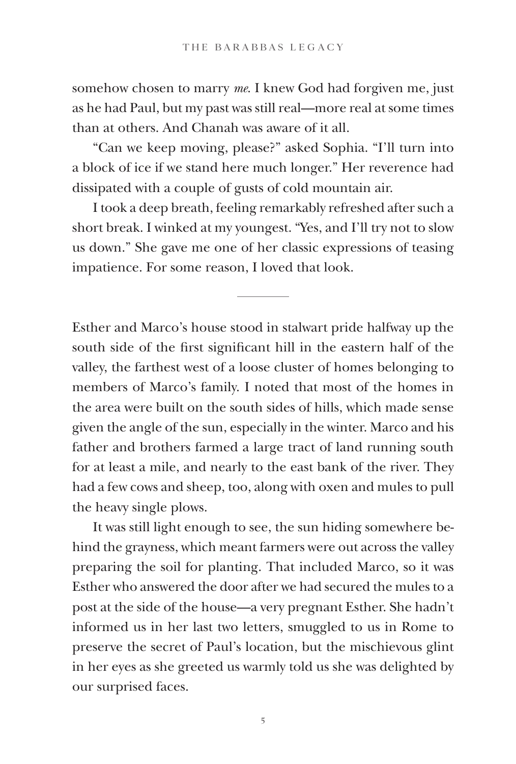somehow chosen to marry *me*. I knew God had forgiven me, just as he had Paul, but my past was still real—more real at some times than at others. And Chanah was aware of it all.

"Can we keep moving, please?" asked Sophia. "I'll turn into a block of ice if we stand here much longer." Her reverence had dissipated with a couple of gusts of cold mountain air.

I took a deep breath, feeling remarkably refreshed after such a short break. I winked at my youngest. "Yes, and I'll try not to slow us down." She gave me one of her classic expressions of teasing impatience. For some reason, I loved that look.

Esther and Marco's house stood in stalwart pride halfway up the south side of the first significant hill in the eastern half of the valley, the farthest west of a loose cluster of homes belonging to members of Marco's family. I noted that most of the homes in the area were built on the south sides of hills, which made sense given the angle of the sun, especially in the winter. Marco and his father and brothers farmed a large tract of land running south for at least a mile, and nearly to the east bank of the river. They had a few cows and sheep, too, along with oxen and mules to pull the heavy single plows.

It was still light enough to see, the sun hiding somewhere behind the grayness, which meant farmers were out across the valley preparing the soil for planting. That included Marco, so it was Esther who answered the door after we had secured the mules to a post at the side of the house—a very pregnant Esther. She hadn't informed us in her last two letters, smuggled to us in Rome to preserve the secret of Paul's location, but the mischievous glint in her eyes as she greeted us warmly told us she was delighted by our surprised faces.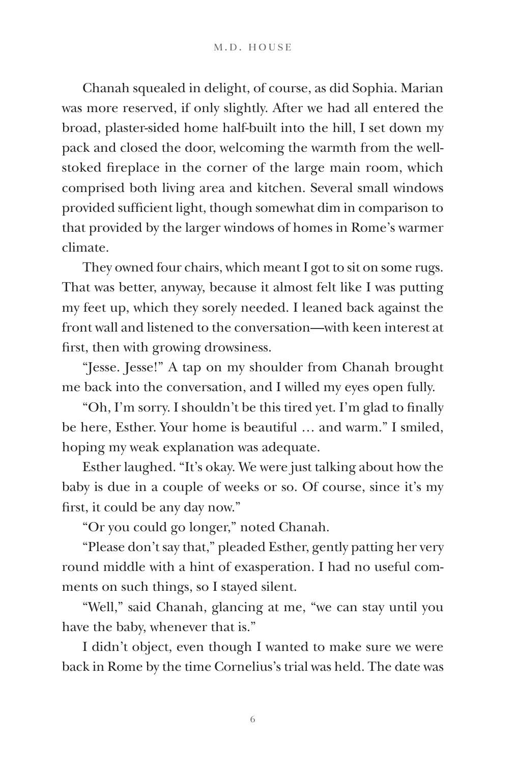Chanah squealed in delight, of course, as did Sophia. Marian was more reserved, if only slightly. After we had all entered the broad, plaster-sided home half-built into the hill, I set down my pack and closed the door, welcoming the warmth from the wellstoked fireplace in the corner of the large main room, which comprised both living area and kitchen. Several small windows provided sufficient light, though somewhat dim in comparison to that provided by the larger windows of homes in Rome's warmer climate.

They owned four chairs, which meant I got to sit on some rugs. That was better, anyway, because it almost felt like I was putting my feet up, which they sorely needed. I leaned back against the front wall and listened to the conversation—with keen interest at first, then with growing drowsiness.

"Jesse. Jesse!" A tap on my shoulder from Chanah brought me back into the conversation, and I willed my eyes open fully.

"Oh, I'm sorry. I shouldn't be this tired yet. I'm glad to finally be here, Esther. Your home is beautiful … and warm." I smiled, hoping my weak explanation was adequate.

Esther laughed. "It's okay. We were just talking about how the baby is due in a couple of weeks or so. Of course, since it's my first, it could be any day now."

"Or you could go longer," noted Chanah.

"Please don't say that," pleaded Esther, gently patting her very round middle with a hint of exasperation. I had no useful comments on such things, so I stayed silent.

"Well," said Chanah, glancing at me, "we can stay until you have the baby, whenever that is."

I didn't object, even though I wanted to make sure we were back in Rome by the time Cornelius's trial was held. The date was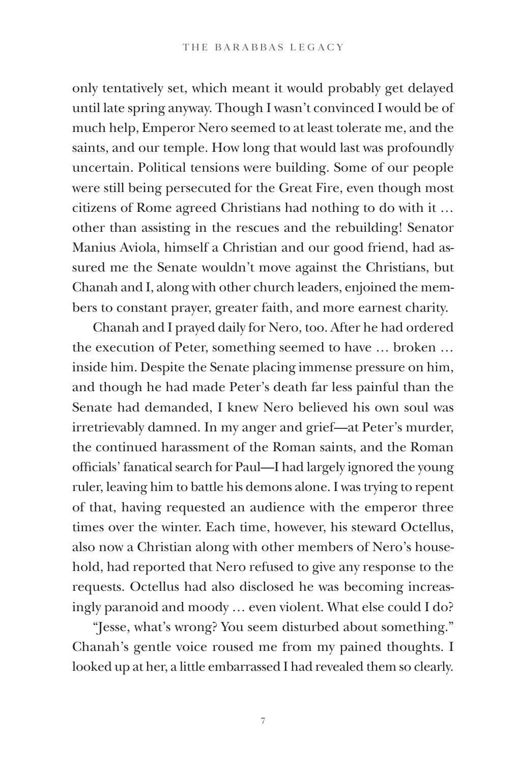only tentatively set, which meant it would probably get delayed until late spring anyway. Though I wasn't convinced I would be of much help, Emperor Nero seemed to at least tolerate me, and the saints, and our temple. How long that would last was profoundly uncertain. Political tensions were building. Some of our people were still being persecuted for the Great Fire, even though most citizens of Rome agreed Christians had nothing to do with it … other than assisting in the rescues and the rebuilding! Senator Manius Aviola, himself a Christian and our good friend, had assured me the Senate wouldn't move against the Christians, but Chanah and I, along with other church leaders, enjoined the members to constant prayer, greater faith, and more earnest charity.

Chanah and I prayed daily for Nero, too. After he had ordered the execution of Peter, something seemed to have … broken … inside him. Despite the Senate placing immense pressure on him, and though he had made Peter's death far less painful than the Senate had demanded, I knew Nero believed his own soul was irretrievably damned. In my anger and grief—at Peter's murder, the continued harassment of the Roman saints, and the Roman officials' fanatical search for Paul—I had largely ignored the young ruler, leaving him to battle his demons alone. I was trying to repent of that, having requested an audience with the emperor three times over the winter. Each time, however, his steward Octellus, also now a Christian along with other members of Nero's household, had reported that Nero refused to give any response to the requests. Octellus had also disclosed he was becoming increasingly paranoid and moody … even violent. What else could I do?

"Jesse, what's wrong? You seem disturbed about something." Chanah's gentle voice roused me from my pained thoughts. I looked up at her, a little embarrassed I had revealed them so clearly.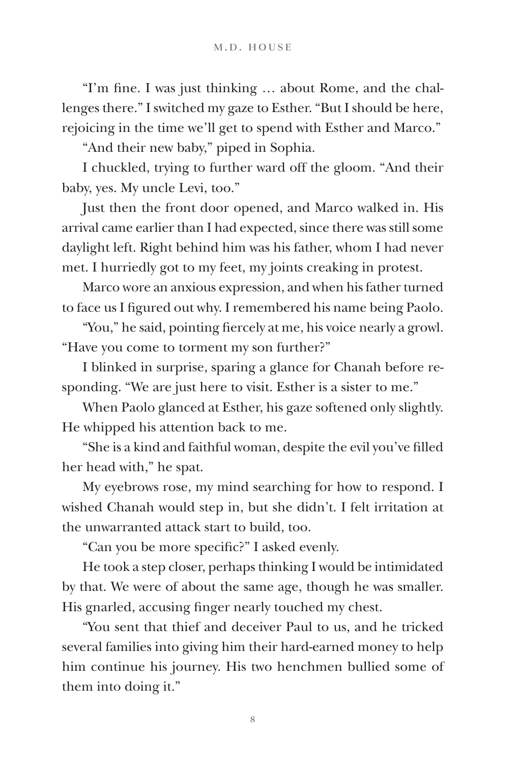"I'm fine. I was just thinking … about Rome, and the challenges there." I switched my gaze to Esther. "But I should be here, rejoicing in the time we'll get to spend with Esther and Marco."

"And their new baby," piped in Sophia.

I chuckled, trying to further ward off the gloom. "And their baby, yes. My uncle Levi, too."

Just then the front door opened, and Marco walked in. His arrival came earlier than I had expected, since there was still some daylight left. Right behind him was his father, whom I had never met. I hurriedly got to my feet, my joints creaking in protest.

Marco wore an anxious expression, and when his father turned to face us I figured out why. I remembered his name being Paolo.

"You," he said, pointing fiercely at me, his voice nearly a growl. "Have you come to torment my son further?"

I blinked in surprise, sparing a glance for Chanah before responding. "We are just here to visit. Esther is a sister to me."

When Paolo glanced at Esther, his gaze softened only slightly. He whipped his attention back to me.

"She is a kind and faithful woman, despite the evil you've filled her head with," he spat.

My eyebrows rose, my mind searching for how to respond. I wished Chanah would step in, but she didn't. I felt irritation at the unwarranted attack start to build, too.

"Can you be more specific?" I asked evenly.

He took a step closer, perhaps thinking I would be intimidated by that. We were of about the same age, though he was smaller. His gnarled, accusing finger nearly touched my chest.

"You sent that thief and deceiver Paul to us, and he tricked several families into giving him their hard-earned money to help him continue his journey. His two henchmen bullied some of them into doing it."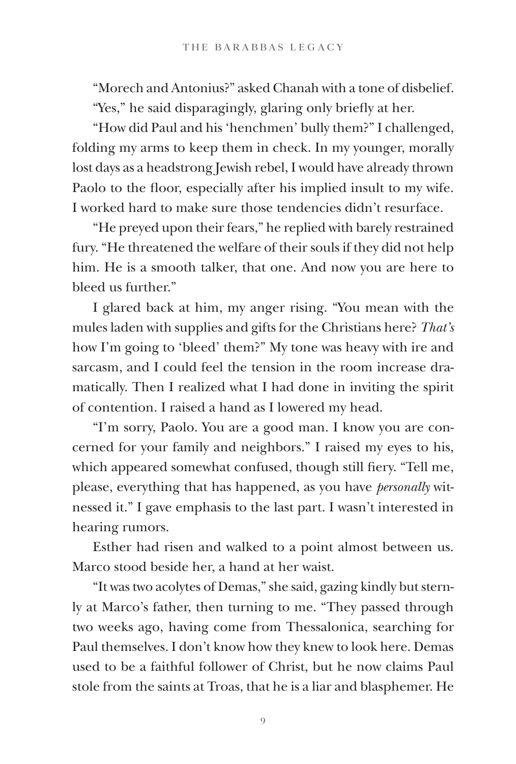"Morech and Antonius?" asked Chanah with a tone of disbelief. "Yes," he said disparagingly, glaring only briefly at her.

"How did Paul and his 'henchmen' bully them?" I challenged, folding my arms to keep them in check. In my younger, morally lost days as a headstrong Jewish rebel, I would have already thrown Paolo to the floor, especially after his implied insult to my wife. I worked hard to make sure those tendencies didn't resurface.

"He preyed upon their fears," he replied with barely restrained fury. "He threatened the welfare of their souls if they did not help him. He is a smooth talker, that one. And now you are here to bleed us further."

I glared back at him, my anger rising. "You mean with the mules laden with supplies and gifts for the Christians here? *That's* how I'm going to 'bleed' them?" My tone was heavy with ire and sarcasm, and I could feel the tension in the room increase dramatically. Then I realized what I had done in inviting the spirit of contention. I raised a hand as I lowered my head.

"I'm sorry, Paolo. You are a good man. I know you are concerned for your family and neighbors." I raised my eyes to his, which appeared somewhat confused, though still fiery. "Tell me, please, everything that has happened, as you have *personally* witnessed it." I gave emphasis to the last part. I wasn't interested in hearing rumors.

Esther had risen and walked to a point almost between us. Marco stood beside her, a hand at her waist.

"It was two acolytes of Demas," she said, gazing kindly but sternly at Marco's father, then turning to me. "They passed through two weeks ago, having come from Thessalonica, searching for Paul themselves. I don't know how they knew to look here. Demas used to be a faithful follower of Christ, but he now claims Paul stole from the saints at Troas, that he is a liar and blasphemer. He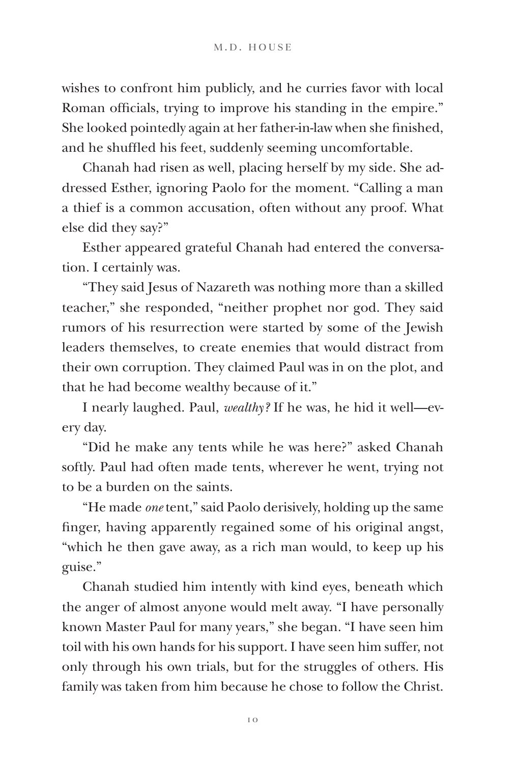wishes to confront him publicly, and he curries favor with local Roman officials, trying to improve his standing in the empire." She looked pointedly again at her father-in-law when she finished, and he shuffled his feet, suddenly seeming uncomfortable.

Chanah had risen as well, placing herself by my side. She addressed Esther, ignoring Paolo for the moment. "Calling a man a thief is a common accusation, often without any proof. What else did they say?"

Esther appeared grateful Chanah had entered the conversation. I certainly was.

"They said Jesus of Nazareth was nothing more than a skilled teacher," she responded, "neither prophet nor god. They said rumors of his resurrection were started by some of the Jewish leaders themselves, to create enemies that would distract from their own corruption. They claimed Paul was in on the plot, and that he had become wealthy because of it."

I nearly laughed. Paul, *wealthy?* If he was, he hid it well—every day.

"Did he make any tents while he was here?" asked Chanah softly. Paul had often made tents, wherever he went, trying not to be a burden on the saints.

"He made *one* tent," said Paolo derisively, holding up the same finger, having apparently regained some of his original angst, "which he then gave away, as a rich man would, to keep up his guise."

Chanah studied him intently with kind eyes, beneath which the anger of almost anyone would melt away. "I have personally known Master Paul for many years," she began. "I have seen him toil with his own hands for his support. I have seen him suffer, not only through his own trials, but for the struggles of others. His family was taken from him because he chose to follow the Christ.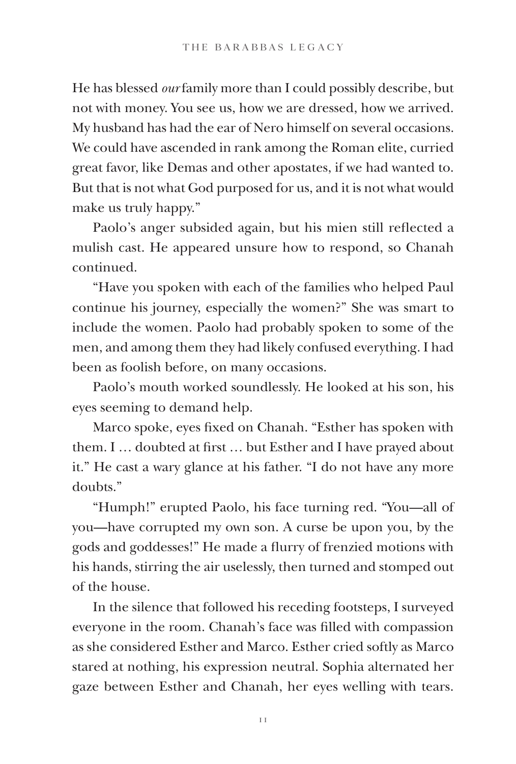He has blessed *our* family more than I could possibly describe, but not with money. You see us, how we are dressed, how we arrived. My husband has had the ear of Nero himself on several occasions. We could have ascended in rank among the Roman elite, curried great favor, like Demas and other apostates, if we had wanted to. But that is not what God purposed for us, and it is not what would make us truly happy."

Paolo's anger subsided again, but his mien still reflected a mulish cast. He appeared unsure how to respond, so Chanah continued.

"Have you spoken with each of the families who helped Paul continue his journey, especially the women?" She was smart to include the women. Paolo had probably spoken to some of the men, and among them they had likely confused everything. I had been as foolish before, on many occasions.

Paolo's mouth worked soundlessly. He looked at his son, his eyes seeming to demand help.

Marco spoke, eyes fixed on Chanah. "Esther has spoken with them. I … doubted at first … but Esther and I have prayed about it." He cast a wary glance at his father. "I do not have any more doubts."

"Humph!" erupted Paolo, his face turning red. "You—all of you—have corrupted my own son. A curse be upon you, by the gods and goddesses!" He made a flurry of frenzied motions with his hands, stirring the air uselessly, then turned and stomped out of the house.

In the silence that followed his receding footsteps, I surveyed everyone in the room. Chanah's face was filled with compassion as she considered Esther and Marco. Esther cried softly as Marco stared at nothing, his expression neutral. Sophia alternated her gaze between Esther and Chanah, her eyes welling with tears.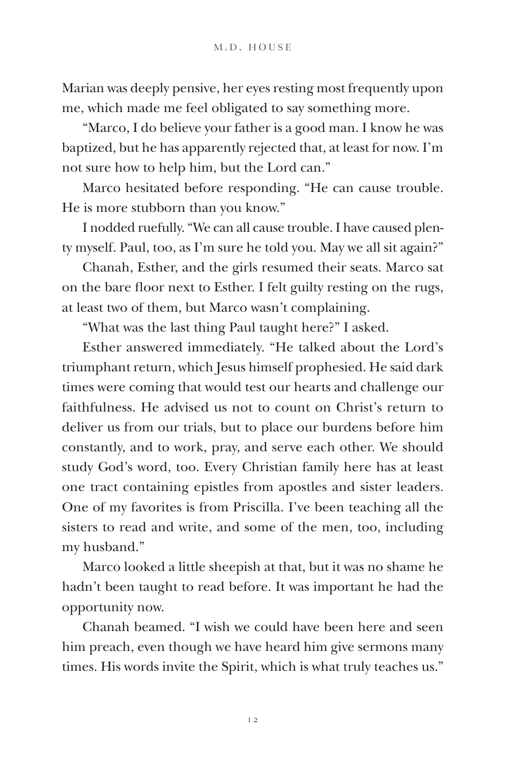Marian was deeply pensive, her eyes resting most frequently upon me, which made me feel obligated to say something more.

"Marco, I do believe your father is a good man. I know he was baptized, but he has apparently rejected that, at least for now. I'm not sure how to help him, but the Lord can."

Marco hesitated before responding. "He can cause trouble. He is more stubborn than you know."

I nodded ruefully. "We can all cause trouble. I have caused plenty myself. Paul, too, as I'm sure he told you. May we all sit again?"

Chanah, Esther, and the girls resumed their seats. Marco sat on the bare floor next to Esther. I felt guilty resting on the rugs, at least two of them, but Marco wasn't complaining.

"What was the last thing Paul taught here?" I asked.

Esther answered immediately. "He talked about the Lord's triumphant return, which Jesus himself prophesied. He said dark times were coming that would test our hearts and challenge our faithfulness. He advised us not to count on Christ's return to deliver us from our trials, but to place our burdens before him constantly, and to work, pray, and serve each other. We should study God's word, too. Every Christian family here has at least one tract containing epistles from apostles and sister leaders. One of my favorites is from Priscilla. I've been teaching all the sisters to read and write, and some of the men, too, including my husband."

Marco looked a little sheepish at that, but it was no shame he hadn't been taught to read before. It was important he had the opportunity now.

Chanah beamed. "I wish we could have been here and seen him preach, even though we have heard him give sermons many times. His words invite the Spirit, which is what truly teaches us."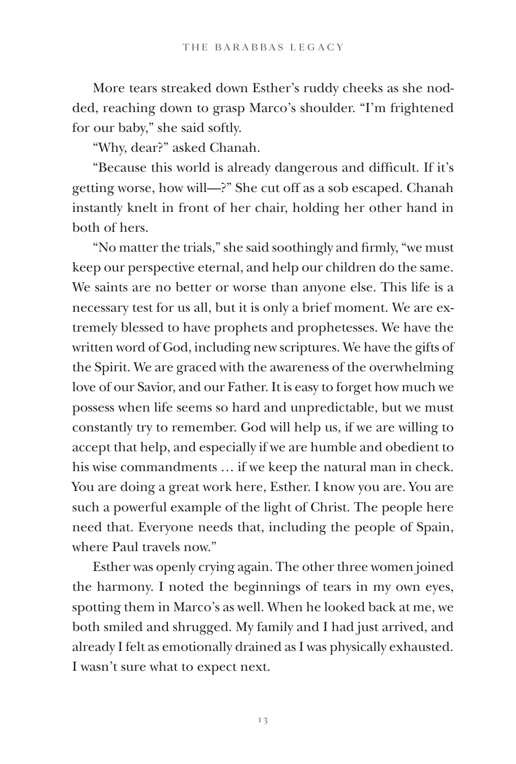More tears streaked down Esther's ruddy cheeks as she nodded, reaching down to grasp Marco's shoulder. "I'm frightened for our baby," she said softly.

"Why, dear?" asked Chanah.

"Because this world is already dangerous and difficult. If it's getting worse, how will—?" She cut off as a sob escaped. Chanah instantly knelt in front of her chair, holding her other hand in both of hers.

"No matter the trials," she said soothingly and firmly, "we must keep our perspective eternal, and help our children do the same. We saints are no better or worse than anyone else. This life is a necessary test for us all, but it is only a brief moment. We are extremely blessed to have prophets and prophetesses. We have the written word of God, including new scriptures. We have the gifts of the Spirit. We are graced with the awareness of the overwhelming love of our Savior, and our Father. It is easy to forget how much we possess when life seems so hard and unpredictable, but we must constantly try to remember. God will help us, if we are willing to accept that help, and especially if we are humble and obedient to his wise commandments … if we keep the natural man in check. You are doing a great work here, Esther. I know you are. You are such a powerful example of the light of Christ. The people here need that. Everyone needs that, including the people of Spain, where Paul travels now."

Esther was openly crying again. The other three women joined the harmony. I noted the beginnings of tears in my own eyes, spotting them in Marco's as well. When he looked back at me, we both smiled and shrugged. My family and I had just arrived, and already I felt as emotionally drained as I was physically exhausted. I wasn't sure what to expect next.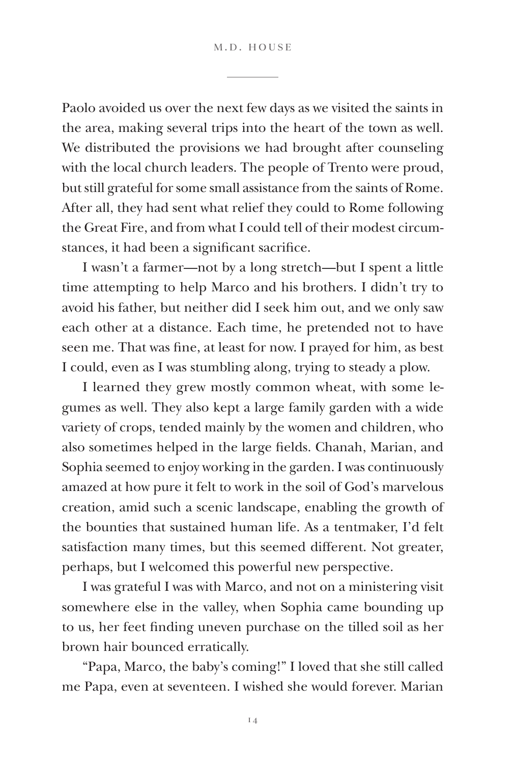Paolo avoided us over the next few days as we visited the saints in the area, making several trips into the heart of the town as well. We distributed the provisions we had brought after counseling with the local church leaders. The people of Trento were proud, but still grateful for some small assistance from the saints of Rome. After all, they had sent what relief they could to Rome following the Great Fire, and from what I could tell of their modest circumstances, it had been a significant sacrifice.

I wasn't a farmer—not by a long stretch—but I spent a little time attempting to help Marco and his brothers. I didn't try to avoid his father, but neither did I seek him out, and we only saw each other at a distance. Each time, he pretended not to have seen me. That was fine, at least for now. I prayed for him, as best I could, even as I was stumbling along, trying to steady a plow.

I learned they grew mostly common wheat, with some legumes as well. They also kept a large family garden with a wide variety of crops, tended mainly by the women and children, who also sometimes helped in the large fields. Chanah, Marian, and Sophia seemed to enjoy working in the garden. I was continuously amazed at how pure it felt to work in the soil of God's marvelous creation, amid such a scenic landscape, enabling the growth of the bounties that sustained human life. As a tentmaker, I'd felt satisfaction many times, but this seemed different. Not greater, perhaps, but I welcomed this powerful new perspective.

I was grateful I was with Marco, and not on a ministering visit somewhere else in the valley, when Sophia came bounding up to us, her feet finding uneven purchase on the tilled soil as her brown hair bounced erratically.

"Papa, Marco, the baby's coming!" I loved that she still called me Papa, even at seventeen. I wished she would forever. Marian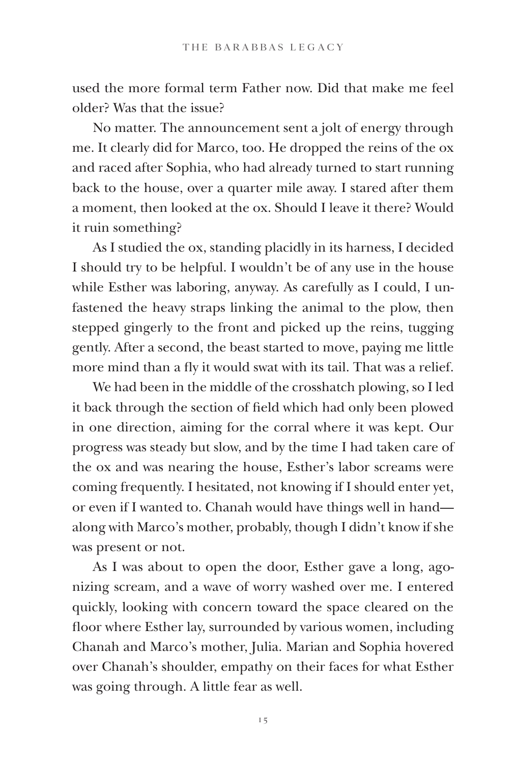used the more formal term Father now. Did that make me feel older? Was that the issue?

No matter. The announcement sent a jolt of energy through me. It clearly did for Marco, too. He dropped the reins of the ox and raced after Sophia, who had already turned to start running back to the house, over a quarter mile away. I stared after them a moment, then looked at the ox. Should I leave it there? Would it ruin something?

As I studied the ox, standing placidly in its harness, I decided I should try to be helpful. I wouldn't be of any use in the house while Esther was laboring, anyway. As carefully as I could, I unfastened the heavy straps linking the animal to the plow, then stepped gingerly to the front and picked up the reins, tugging gently. After a second, the beast started to move, paying me little more mind than a fly it would swat with its tail. That was a relief.

We had been in the middle of the crosshatch plowing, so I led it back through the section of field which had only been plowed in one direction, aiming for the corral where it was kept. Our progress was steady but slow, and by the time I had taken care of the ox and was nearing the house, Esther's labor screams were coming frequently. I hesitated, not knowing if I should enter yet, or even if I wanted to. Chanah would have things well in hand along with Marco's mother, probably, though I didn't know if she was present or not.

As I was about to open the door, Esther gave a long, agonizing scream, and a wave of worry washed over me. I entered quickly, looking with concern toward the space cleared on the floor where Esther lay, surrounded by various women, including Chanah and Marco's mother, Julia. Marian and Sophia hovered over Chanah's shoulder, empathy on their faces for what Esther was going through. A little fear as well.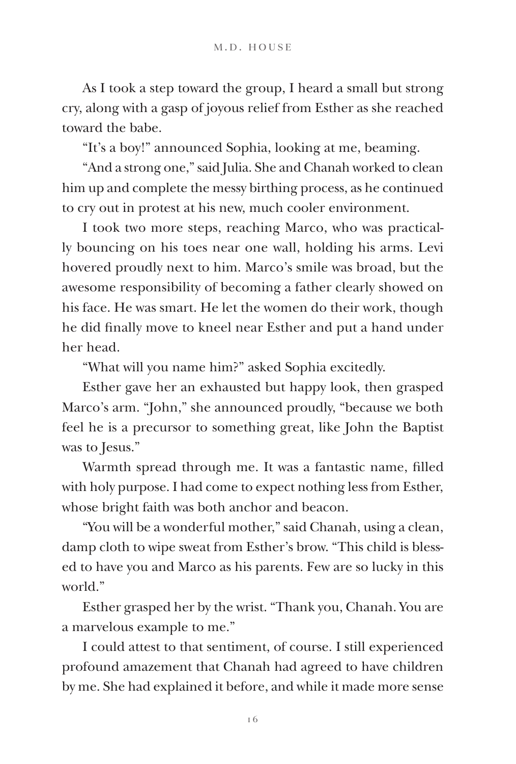As I took a step toward the group, I heard a small but strong cry, along with a gasp of joyous relief from Esther as she reached toward the babe.

"It's a boy!" announced Sophia, looking at me, beaming.

"And a strong one," said Julia. She and Chanah worked to clean him up and complete the messy birthing process, as he continued to cry out in protest at his new, much cooler environment.

I took two more steps, reaching Marco, who was practically bouncing on his toes near one wall, holding his arms. Levi hovered proudly next to him. Marco's smile was broad, but the awesome responsibility of becoming a father clearly showed on his face. He was smart. He let the women do their work, though he did finally move to kneel near Esther and put a hand under her head.

"What will you name him?" asked Sophia excitedly.

Esther gave her an exhausted but happy look, then grasped Marco's arm. "John," she announced proudly, "because we both feel he is a precursor to something great, like John the Baptist was to Jesus."

Warmth spread through me. It was a fantastic name, filled with holy purpose. I had come to expect nothing less from Esther, whose bright faith was both anchor and beacon.

"You will be a wonderful mother," said Chanah, using a clean, damp cloth to wipe sweat from Esther's brow. "This child is blessed to have you and Marco as his parents. Few are so lucky in this world."

Esther grasped her by the wrist. "Thank you, Chanah. You are a marvelous example to me."

I could attest to that sentiment, of course. I still experienced profound amazement that Chanah had agreed to have children by me. She had explained it before, and while it made more sense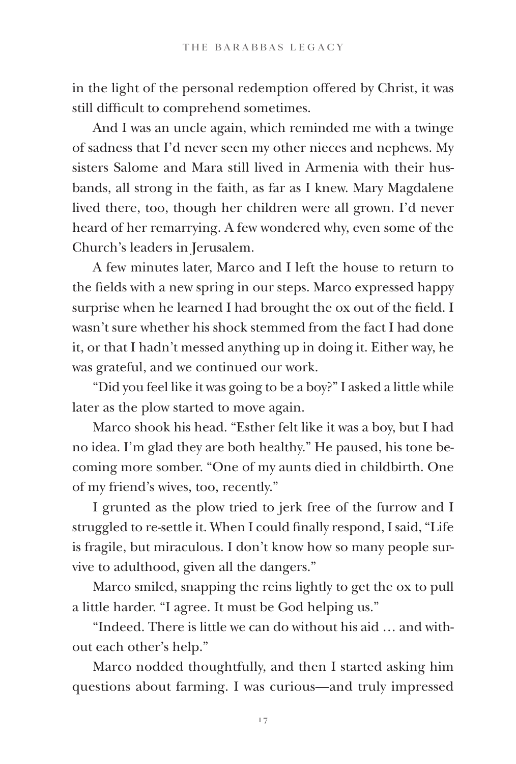in the light of the personal redemption offered by Christ, it was still difficult to comprehend sometimes.

And I was an uncle again, which reminded me with a twinge of sadness that I'd never seen my other nieces and nephews. My sisters Salome and Mara still lived in Armenia with their husbands, all strong in the faith, as far as I knew. Mary Magdalene lived there, too, though her children were all grown. I'd never heard of her remarrying. A few wondered why, even some of the Church's leaders in Jerusalem.

A few minutes later, Marco and I left the house to return to the fields with a new spring in our steps. Marco expressed happy surprise when he learned I had brought the ox out of the field. I wasn't sure whether his shock stemmed from the fact I had done it, or that I hadn't messed anything up in doing it. Either way, he was grateful, and we continued our work.

"Did you feel like it was going to be a boy?" I asked a little while later as the plow started to move again.

Marco shook his head. "Esther felt like it was a boy, but I had no idea. I'm glad they are both healthy." He paused, his tone becoming more somber. "One of my aunts died in childbirth. One of my friend's wives, too, recently."

I grunted as the plow tried to jerk free of the furrow and I struggled to re-settle it. When I could finally respond, I said, "Life is fragile, but miraculous. I don't know how so many people survive to adulthood, given all the dangers."

Marco smiled, snapping the reins lightly to get the ox to pull a little harder. "I agree. It must be God helping us."

"Indeed. There is little we can do without his aid … and without each other's help."

Marco nodded thoughtfully, and then I started asking him questions about farming. I was curious—and truly impressed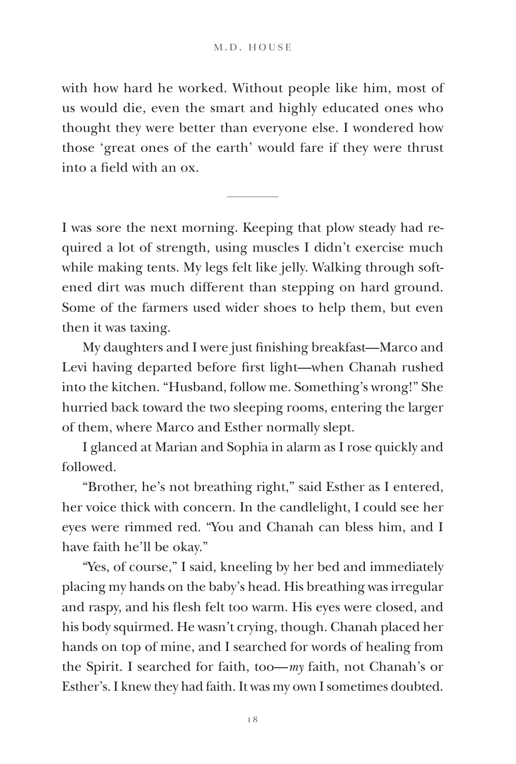with how hard he worked. Without people like him, most of us would die, even the smart and highly educated ones who thought they were better than everyone else. I wondered how those 'great ones of the earth' would fare if they were thrust into a field with an ox.

I was sore the next morning. Keeping that plow steady had required a lot of strength, using muscles I didn't exercise much while making tents. My legs felt like jelly. Walking through softened dirt was much different than stepping on hard ground. Some of the farmers used wider shoes to help them, but even then it was taxing.

My daughters and I were just finishing breakfast—Marco and Levi having departed before first light—when Chanah rushed into the kitchen. "Husband, follow me. Something's wrong!" She hurried back toward the two sleeping rooms, entering the larger of them, where Marco and Esther normally slept.

I glanced at Marian and Sophia in alarm as I rose quickly and followed.

"Brother, he's not breathing right," said Esther as I entered, her voice thick with concern. In the candlelight, I could see her eyes were rimmed red. "You and Chanah can bless him, and I have faith he'll be okay."

"Yes, of course," I said, kneeling by her bed and immediately placing my hands on the baby's head. His breathing was irregular and raspy, and his flesh felt too warm. His eyes were closed, and his body squirmed. He wasn't crying, though. Chanah placed her hands on top of mine, and I searched for words of healing from the Spirit. I searched for faith, too—*my* faith, not Chanah's or Esther's. I knew they had faith. It was my own I sometimes doubted.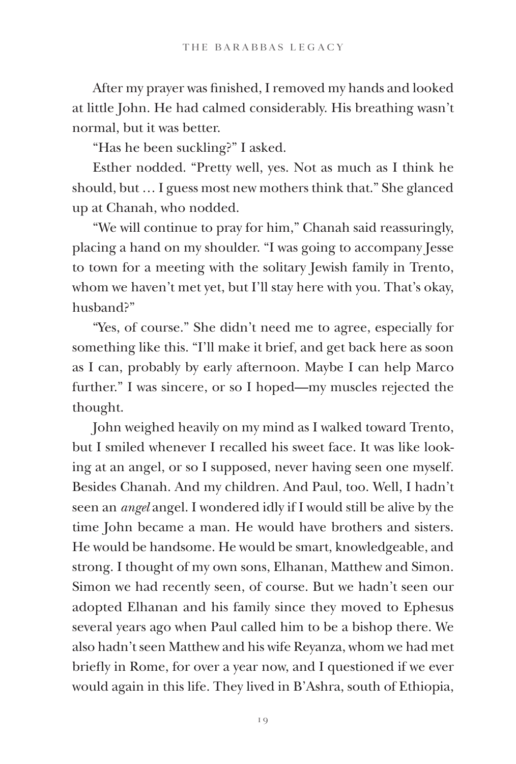After my prayer was finished, I removed my hands and looked at little John. He had calmed considerably. His breathing wasn't normal, but it was better.

"Has he been suckling?" I asked.

Esther nodded. "Pretty well, yes. Not as much as I think he should, but … I guess most new mothers think that." She glanced up at Chanah, who nodded.

"We will continue to pray for him," Chanah said reassuringly, placing a hand on my shoulder. "I was going to accompany Jesse to town for a meeting with the solitary Jewish family in Trento, whom we haven't met yet, but I'll stay here with you. That's okay, husband?"

"Yes, of course." She didn't need me to agree, especially for something like this. "I'll make it brief, and get back here as soon as I can, probably by early afternoon. Maybe I can help Marco further." I was sincere, or so I hoped—my muscles rejected the thought.

John weighed heavily on my mind as I walked toward Trento, but I smiled whenever I recalled his sweet face. It was like looking at an angel, or so I supposed, never having seen one myself. Besides Chanah. And my children. And Paul, too. Well, I hadn't seen an *angel* angel. I wondered idly if I would still be alive by the time John became a man. He would have brothers and sisters. He would be handsome. He would be smart, knowledgeable, and strong. I thought of my own sons, Elhanan, Matthew and Simon. Simon we had recently seen, of course. But we hadn't seen our adopted Elhanan and his family since they moved to Ephesus several years ago when Paul called him to be a bishop there. We also hadn't seen Matthew and his wife Reyanza, whom we had met briefly in Rome, for over a year now, and I questioned if we ever would again in this life. They lived in B'Ashra, south of Ethiopia,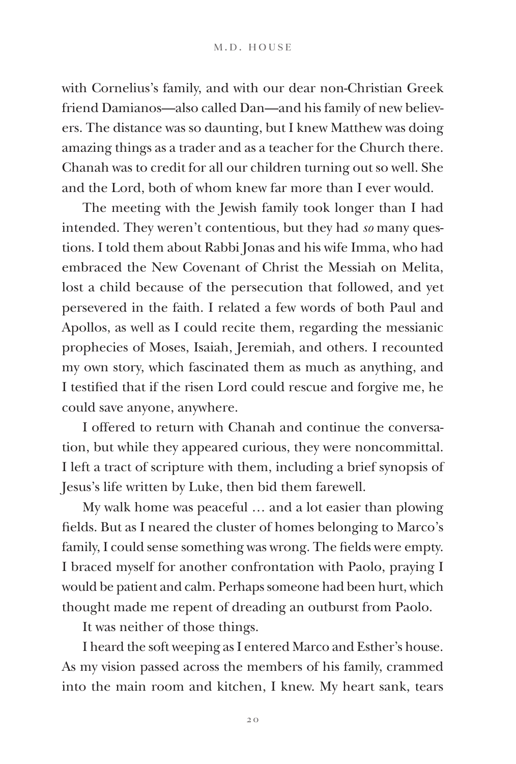with Cornelius's family, and with our dear non-Christian Greek friend Damianos—also called Dan—and his family of new believers. The distance was so daunting, but I knew Matthew was doing amazing things as a trader and as a teacher for the Church there. Chanah was to credit for all our children turning out so well. She and the Lord, both of whom knew far more than I ever would.

The meeting with the Jewish family took longer than I had intended. They weren't contentious, but they had *so* many questions. I told them about Rabbi Jonas and his wife Imma, who had embraced the New Covenant of Christ the Messiah on Melita, lost a child because of the persecution that followed, and yet persevered in the faith. I related a few words of both Paul and Apollos, as well as I could recite them, regarding the messianic prophecies of Moses, Isaiah, Jeremiah, and others. I recounted my own story, which fascinated them as much as anything, and I testified that if the risen Lord could rescue and forgive me, he could save anyone, anywhere.

I offered to return with Chanah and continue the conversation, but while they appeared curious, they were noncommittal. I left a tract of scripture with them, including a brief synopsis of Jesus's life written by Luke, then bid them farewell.

My walk home was peaceful … and a lot easier than plowing fields. But as I neared the cluster of homes belonging to Marco's family, I could sense something was wrong. The fields were empty. I braced myself for another confrontation with Paolo, praying I would be patient and calm. Perhaps someone had been hurt, which thought made me repent of dreading an outburst from Paolo.

It was neither of those things.

I heard the soft weeping as I entered Marco and Esther's house. As my vision passed across the members of his family, crammed into the main room and kitchen, I knew. My heart sank, tears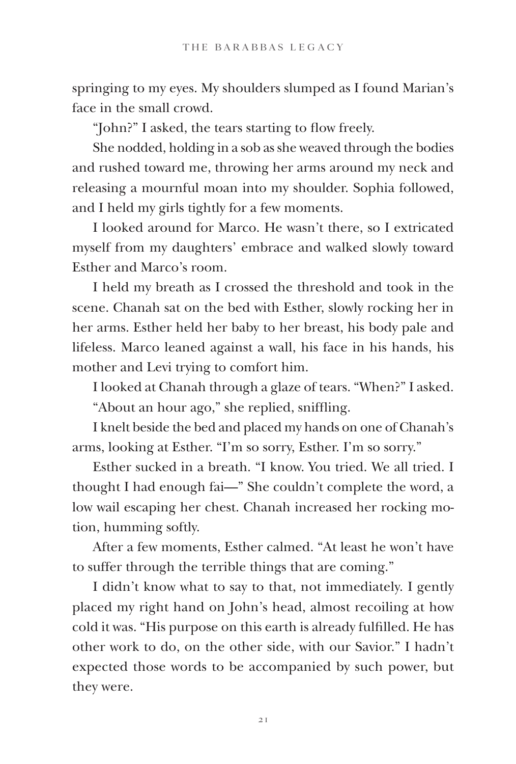springing to my eyes. My shoulders slumped as I found Marian's face in the small crowd.

"John?" I asked, the tears starting to flow freely.

She nodded, holding in a sob as she weaved through the bodies and rushed toward me, throwing her arms around my neck and releasing a mournful moan into my shoulder. Sophia followed, and I held my girls tightly for a few moments.

I looked around for Marco. He wasn't there, so I extricated myself from my daughters' embrace and walked slowly toward Esther and Marco's room.

I held my breath as I crossed the threshold and took in the scene. Chanah sat on the bed with Esther, slowly rocking her in her arms. Esther held her baby to her breast, his body pale and lifeless. Marco leaned against a wall, his face in his hands, his mother and Levi trying to comfort him.

I looked at Chanah through a glaze of tears. "When?" I asked.

"About an hour ago," she replied, sniffling.

I knelt beside the bed and placed my hands on one of Chanah's arms, looking at Esther. "I'm so sorry, Esther. I'm so sorry."

Esther sucked in a breath. "I know. You tried. We all tried. I thought I had enough fai—" She couldn't complete the word, a low wail escaping her chest. Chanah increased her rocking motion, humming softly.

After a few moments, Esther calmed. "At least he won't have to suffer through the terrible things that are coming."

I didn't know what to say to that, not immediately. I gently placed my right hand on John's head, almost recoiling at how cold it was. "His purpose on this earth is already fulfilled. He has other work to do, on the other side, with our Savior." I hadn't expected those words to be accompanied by such power, but they were.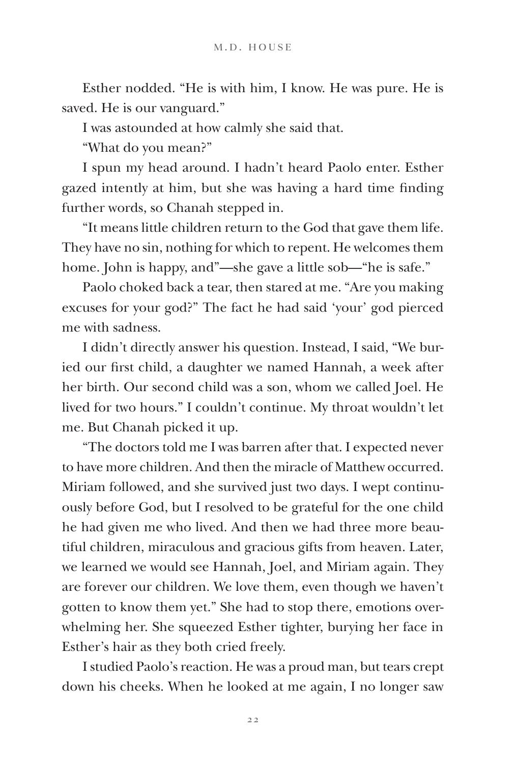Esther nodded. "He is with him, I know. He was pure. He is saved. He is our vanguard."

I was astounded at how calmly she said that.

"What do you mean?"

I spun my head around. I hadn't heard Paolo enter. Esther gazed intently at him, but she was having a hard time finding further words, so Chanah stepped in.

"It means little children return to the God that gave them life. They have no sin, nothing for which to repent. He welcomes them home. John is happy, and"—she gave a little sob—"he is safe."

Paolo choked back a tear, then stared at me. "Are you making excuses for your god?" The fact he had said 'your' god pierced me with sadness.

I didn't directly answer his question. Instead, I said, "We buried our first child, a daughter we named Hannah, a week after her birth. Our second child was a son, whom we called Joel. He lived for two hours." I couldn't continue. My throat wouldn't let me. But Chanah picked it up.

"The doctors told me I was barren after that. I expected never to have more children. And then the miracle of Matthew occurred. Miriam followed, and she survived just two days. I wept continuously before God, but I resolved to be grateful for the one child he had given me who lived. And then we had three more beautiful children, miraculous and gracious gifts from heaven. Later, we learned we would see Hannah, Joel, and Miriam again. They are forever our children. We love them, even though we haven't gotten to know them yet." She had to stop there, emotions overwhelming her. She squeezed Esther tighter, burying her face in Esther's hair as they both cried freely.

I studied Paolo's reaction. He was a proud man, but tears crept down his cheeks. When he looked at me again, I no longer saw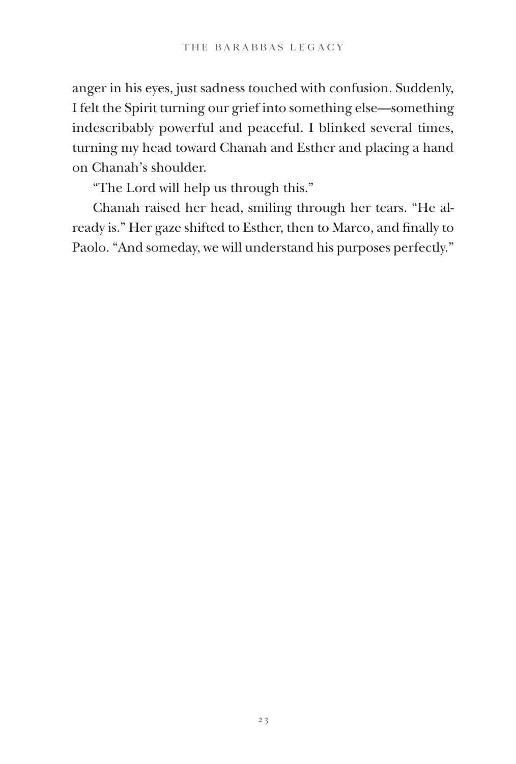anger in his eyes, just sadness touched with confusion. Suddenly, I felt the Spirit turning our grief into something else—something indescribably powerful and peaceful. I blinked several times, turning my head toward Chanah and Esther and placing a hand on Chanah's shoulder.

"The Lord will help us through this."

Chanah raised her head, smiling through her tears. "He already is." Her gaze shifted to Esther, then to Marco, and finally to Paolo. "And someday, we will understand his purposes perfectly."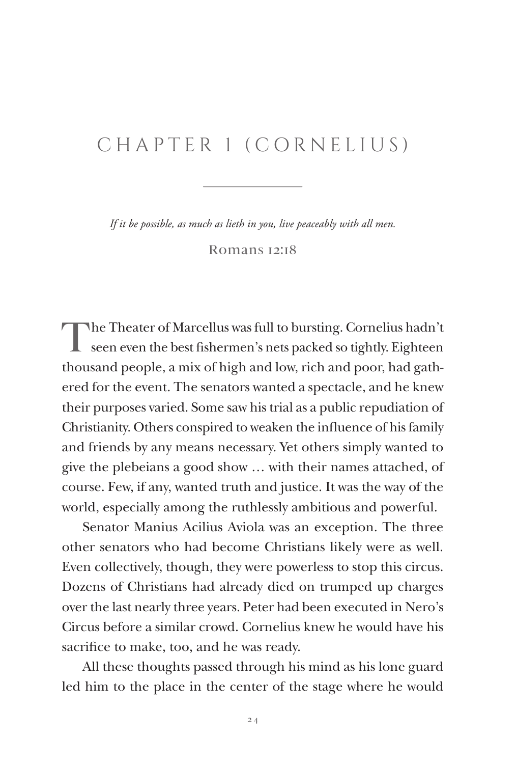## CHAPTER 1 (CORNELIUS)

*If it be possible, as much as lieth in you, live peaceably with all men.*

Romans 12:18

The Theater of Marcellus was full to bursting. Cornelius hadn't seen even the best fishermen's nets packed so tightly. Eighteen thousand people, a mix of high and low, rich and poor, had gathered for the event. The senators wanted a spectacle, and he knew their purposes varied. Some saw his trial as a public repudiation of Christianity. Others conspired to weaken the influence of his family and friends by any means necessary. Yet others simply wanted to give the plebeians a good show … with their names attached, of course. Few, if any, wanted truth and justice. It was the way of the world, especially among the ruthlessly ambitious and powerful.

Senator Manius Acilius Aviola was an exception. The three other senators who had become Christians likely were as well. Even collectively, though, they were powerless to stop this circus. Dozens of Christians had already died on trumped up charges over the last nearly three years. Peter had been executed in Nero's Circus before a similar crowd. Cornelius knew he would have his sacrifice to make, too, and he was ready.

All these thoughts passed through his mind as his lone guard led him to the place in the center of the stage where he would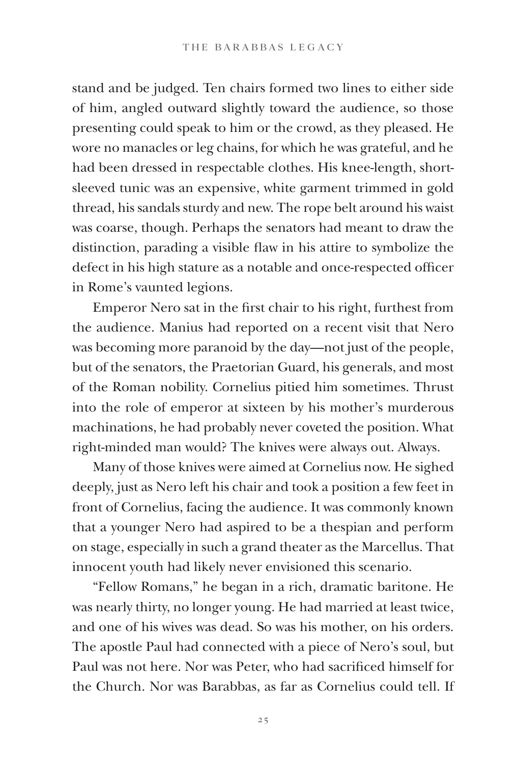stand and be judged. Ten chairs formed two lines to either side of him, angled outward slightly toward the audience, so those presenting could speak to him or the crowd, as they pleased. He wore no manacles or leg chains, for which he was grateful, and he had been dressed in respectable clothes. His knee-length, shortsleeved tunic was an expensive, white garment trimmed in gold thread, his sandals sturdy and new. The rope belt around his waist was coarse, though. Perhaps the senators had meant to draw the distinction, parading a visible flaw in his attire to symbolize the defect in his high stature as a notable and once-respected officer in Rome's vaunted legions.

Emperor Nero sat in the first chair to his right, furthest from the audience. Manius had reported on a recent visit that Nero was becoming more paranoid by the day—not just of the people, but of the senators, the Praetorian Guard, his generals, and most of the Roman nobility. Cornelius pitied him sometimes. Thrust into the role of emperor at sixteen by his mother's murderous machinations, he had probably never coveted the position. What right-minded man would? The knives were always out. Always.

Many of those knives were aimed at Cornelius now. He sighed deeply, just as Nero left his chair and took a position a few feet in front of Cornelius, facing the audience. It was commonly known that a younger Nero had aspired to be a thespian and perform on stage, especially in such a grand theater as the Marcellus. That innocent youth had likely never envisioned this scenario.

"Fellow Romans," he began in a rich, dramatic baritone. He was nearly thirty, no longer young. He had married at least twice, and one of his wives was dead. So was his mother, on his orders. The apostle Paul had connected with a piece of Nero's soul, but Paul was not here. Nor was Peter, who had sacrificed himself for the Church. Nor was Barabbas, as far as Cornelius could tell. If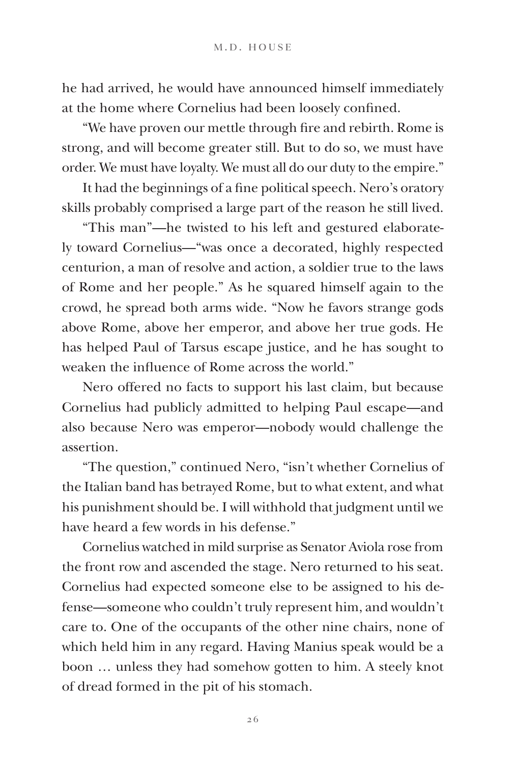he had arrived, he would have announced himself immediately at the home where Cornelius had been loosely confined.

"We have proven our mettle through fire and rebirth. Rome is strong, and will become greater still. But to do so, we must have order. We must have loyalty. We must all do our duty to the empire."

It had the beginnings of a fine political speech. Nero's oratory skills probably comprised a large part of the reason he still lived.

"This man"—he twisted to his left and gestured elaborately toward Cornelius—"was once a decorated, highly respected centurion, a man of resolve and action, a soldier true to the laws of Rome and her people." As he squared himself again to the crowd, he spread both arms wide. "Now he favors strange gods above Rome, above her emperor, and above her true gods. He has helped Paul of Tarsus escape justice, and he has sought to weaken the influence of Rome across the world."

Nero offered no facts to support his last claim, but because Cornelius had publicly admitted to helping Paul escape—and also because Nero was emperor—nobody would challenge the assertion.

"The question," continued Nero, "isn't whether Cornelius of the Italian band has betrayed Rome, but to what extent, and what his punishment should be. I will withhold that judgment until we have heard a few words in his defense."

Cornelius watched in mild surprise as Senator Aviola rose from the front row and ascended the stage. Nero returned to his seat. Cornelius had expected someone else to be assigned to his defense—someone who couldn't truly represent him, and wouldn't care to. One of the occupants of the other nine chairs, none of which held him in any regard. Having Manius speak would be a boon … unless they had somehow gotten to him. A steely knot of dread formed in the pit of his stomach.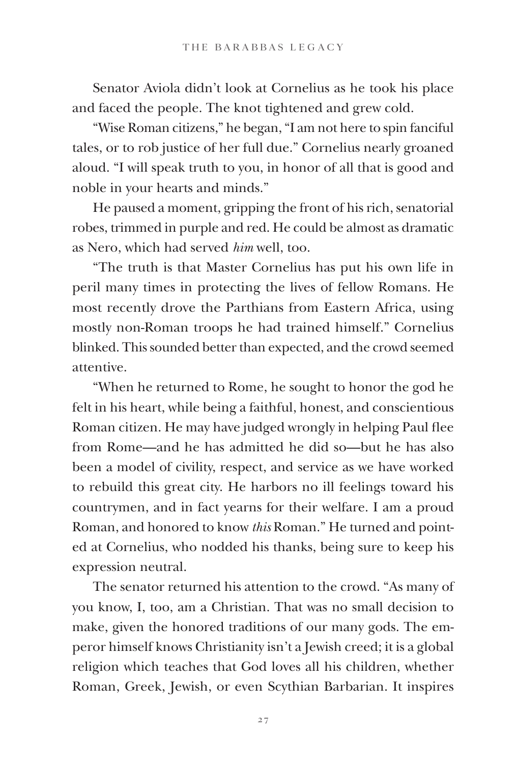Senator Aviola didn't look at Cornelius as he took his place and faced the people. The knot tightened and grew cold.

"Wise Roman citizens," he began, "I am not here to spin fanciful tales, or to rob justice of her full due." Cornelius nearly groaned aloud. "I will speak truth to you, in honor of all that is good and noble in your hearts and minds."

He paused a moment, gripping the front of his rich, senatorial robes, trimmed in purple and red. He could be almost as dramatic as Nero, which had served *him* well, too.

"The truth is that Master Cornelius has put his own life in peril many times in protecting the lives of fellow Romans. He most recently drove the Parthians from Eastern Africa, using mostly non-Roman troops he had trained himself." Cornelius blinked. This sounded better than expected, and the crowd seemed attentive.

"When he returned to Rome, he sought to honor the god he felt in his heart, while being a faithful, honest, and conscientious Roman citizen. He may have judged wrongly in helping Paul flee from Rome—and he has admitted he did so—but he has also been a model of civility, respect, and service as we have worked to rebuild this great city. He harbors no ill feelings toward his countrymen, and in fact yearns for their welfare. I am a proud Roman, and honored to know *this* Roman." He turned and pointed at Cornelius, who nodded his thanks, being sure to keep his expression neutral.

The senator returned his attention to the crowd. "As many of you know, I, too, am a Christian. That was no small decision to make, given the honored traditions of our many gods. The emperor himself knows Christianity isn't a Jewish creed; it is a global religion which teaches that God loves all his children, whether Roman, Greek, Jewish, or even Scythian Barbarian. It inspires